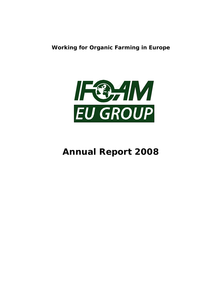*Working for Organic Farming in Europe* 



# **Annual Report 2008**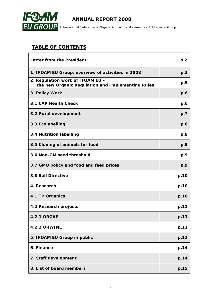

 *International Federation of Organic Agriculture Movements – EU Regional Group*

## *TABLE OF CONTENTS*

| <b>Letter from the President</b>                                                      | p.2  |
|---------------------------------------------------------------------------------------|------|
| 1. IFOAM EU Group: overview of activities in 2008                                     | p.3  |
| 2. Regulation work of IFOAM EU -<br>the new Organic Regulation and Implementing Rules | p.5  |
| 3. Policy Work                                                                        | p.6  |
| 3.1 CAP Health Check                                                                  | p.6  |
| 3.2 Rural development                                                                 | p.7  |
| 3.3 Ecolabelling                                                                      | p.8  |
| 3.4 Nutrition labelling                                                               | p.8  |
| 3.5 Cloning of animals for food                                                       | p.9  |
| 3.6 Non-GM seed threshold                                                             | p.9  |
| 3.7 GMO policy and food and feed prices                                               | p.9  |
| 3.8 Soil Directive                                                                    | p.10 |
| 4. Research                                                                           | p.10 |
| 4.1 TP Organics                                                                       | p.10 |
| 4.2 Research projects                                                                 | p.11 |
| <b>4.2.1 ORGAP</b>                                                                    | p.11 |
| <b>4.2.2 ORWINE</b>                                                                   | p.11 |
| 5. IFOAM EU Group in public                                                           | p.12 |
| 6. Finance                                                                            | p.14 |
| 7. Staff development                                                                  | p.14 |
| 8. List of board members                                                              | p.15 |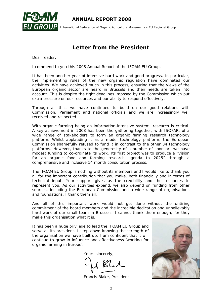

 *International Federation of Organic Agriculture Movements – EU Regional Group*

# *Letter from the President*

Dear reader,

I commend to you this 2008 Annual Report of the IFOAM EU Group.

It has been another year of intensive hard work and good progress. In particular, the implementing rules of the new organic regulation have dominated our activities. We have achieved much in this process, ensuring that the views of the European organic sector are heard in Brussels and their needs are taken into account. This is despite the tight deadlines imposed by the Commission which put extra pressure on our resources and our ability to respond effectively.

Through all this, we have continued to build on our good relations with Commission, Parliament and national officials and we are increasingly well received and respected.

With organic farming being an information-intensive system, research is critical. A key achievement in 2008 has been the gathering together, with ISOFAR, of a wide range of stakeholders to form an organic farming research technology platform. Whilst applauding it as a model technology platform, the European Commission shamefully refused to fund it in contrast to the other 34 technology platforms. However, thanks to the generosity of a number of sponsors we have modest funding to co-ordinate its work. Its first project was to produce a "Vision for an organic food and farming research agenda to 2025" through a comprehensive and inclusive 14 month consultation process.

The IFOAM EU Group is nothing without its members and I would like to thank you all for the important contribution that you make, both financially and in terms of technical input. Your support gives us the credibility and the resources to represent you. As our activities expand, we also depend on funding from other sources, including the European Commission and a wide range of organisations and foundations. I thank them all.

And all of this important work would not get done without the untiring commitment of the board members and the incredible dedication and unbelievably hard work of our small team in Brussels. I cannot thank them enough, for they make this organisation what it is.

It has been a huge privilege to lead the IFOAM EU Group and serve as its president. I step down knowing the strength of the organisation we have built up. I am confident that it will continue to grow in influence and effectiveness 'working for organic farming in Europe'.

Yours sincerely,

Francis Blake, President

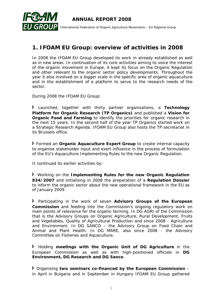

# *1. IFOAM EU Group: overview of activities in 2008*

In 2008 the IFOAM EU Group developed its work in already established as well as in new areas. In continuation of its core activities aiming to voice the interest of the organic movement in Europe, it kept its focus on the Organic Regulation and other relevant to the organic sector policy developments. Throughout the year it also involved on a bigger scale in the specific area of organic aquaculture and in the establishment of a platform to serve to the research needs of the sector.

During 2008 the IFOAM EU Group:

Ð Launched, together with thirty partner organisations, a **Technology Platform for Organic Research (TP Organics)** and published a **Vision for Organic Food and Farming** to identify the priorities for organic research in the next 15 years. In the second half of the year TP Organics started work on a Strategic Research Agenda. IFOAM EU Group also hosts the TP secretariat in its Brussels office.

Ð Formed an **Organic Aquaculture Expert Group** to create internal capacity to organise stakeholder input and exert influence in the process of formulation of the EU's Aquaculture Implementing Rules to the new Organic Regulation.

It continued its earlier activities by:

Ð Working on the **Implementing Rules for the new Organic Regulation 834/2007** and initialising in 2008 the preparation of a **Regulation Dossier** to inform the organic sector about the new operational framework in the EU as of January 2009.

Ð Participating in the work of seven **Advisory Groups of the European Commission** and feeding into the Commission's ongoing regulatory work on main points of relevance for the organic farming. In DG AGRI of the Commission that is the Advisory Groups on Organic Agriculture, Rural Development, Fruits and Vegetables, Quality of Agricultural Production and since 2008 - Agriculture and Environment. In DG SANCO – the Advisory Group on Food Chain and Animal and Plant Health. In DG MARE, also since 2008 - the Advisory Committee on Fisheries and Aquaculture.

Ð Holding **meetings with the Organic Unit of DG Agriculture** in the European Commission as well as with high-positioned officials in **DG Environment, DG Research and DG Sanco**.

Ð Organising **two seminars co-financed by the European Commission** – in April in Bulgaria and in September in Hungary IFOAM EU Group gathered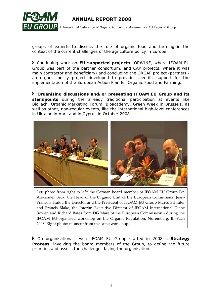

 *International Federation of Organic Agriculture Movements – EU Regional Group*

groups of experts to discuss the role of organic food and farming in the context of the current challenges of the agriculture policy in Europe.

Ð Continuing work on **EU-supported projects** (ORWINE, where IFOAM EU Group was part of the partner consortium, and CAP projects, where it was main contractor and beneficiary) and concluding the ORGAP project (partner) an organic policy project developed to provide scientific support for the implementation of the European Action Plan for Organic Food and Farming.

Ð **Organising discussions and/or presenting IFOAM EU Group and its standpoints** during the already traditional participation at events like BioFach, Organic Marketing Forum, Bioacademy, Green Week in Brussels, as well as other, non-regular events, like the international high-level conferences in Ukraine in April and in Cyprus in October 2008.



Left photo from right to left: the German board member of IFOAM EU Group Dr. Alexander Beck, the Head of the Organic Unit of the European Commission Jean‐ Francois Hulot, the Director and the President of IFOAM EU Group Marco Schlüter and Francis Blake, the Interim Executive Director of IFOAM International Diane Bowen and Richard Bates from DG Mare of the European Commission ‐ during the IFOAM EU‐organised workshop on the Organic Regulation, Nuremberg, BioFach 2008. Right photo: moment from the same workshop.

Ð On organisational level: IFOAM EU Group started in 2008 a **Strategy Process**, involving the board members of the Group, to define the future priorities and assess the challenges facing the organisation.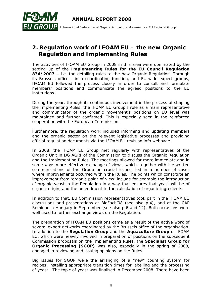

*GROUP International Federation of Organic Agriculture Movements – EU Regional Group* 

# *2. Regulation work of IFOAM EU – the new Organic Regulation and Implementing Rules*

The activities of IFOAM EU Group in 2008 in this area were dominated by the setting up of the **Implementing Rules for the EU Council Regulation 834/2007** – i.e. the detailing rules to the new Organic Regulation. Through its Brussels office - in a coordinating function, and EU-wide expert groups, IFOAM EU followed the process closely in order to consult and formulate members' positions and communicate the agreed positions to the EU institutions.

During the year, through its continuous involvement in the process of shaping the Implementing Rules, the IFOAM EU Group's role as a main representative and communicator of the organic movement's positions on EU level was maintained and further confirmed. This is especially seen in the reinforced cooperation with the European Commission.

Furthermore, the regulation work included informing and updating members and the organic sector on the relevant legislative processes and providing official regulation documents via the IFOAM EU revision info webpage.

In 2008, the IFOAM EU Group met regularly with representatives of the Organic Unit in DG AGRI of the Commission to discuss the Organic Regulation and the Implementing Rules. The meetings allowed for more immediate and in some ways more effective exchange of views, which, together with the written communications of the Group on crucial issues, led in a number of cases where improvements occurred within the Rules. The points which constitute an improvement from 'organic point of view' include for example the introduction of organic yeast in the Regulation in a way that ensures that yeast will be of organic origin, and the amendment to the calculation of organic ingredients.

In addition to that, EU Commission representatives took part in the IFOAM EU discussions and presentations at BioFach'08 *(see also p.4)*, and at the CAP Seminar in Hungary in September *(see also p.6 and 12).* Both occasions were well used to further exchange views on the Regulation.

The preparation of IFOAM EU positions came as a result of the active work of several expert networks coordinated by the Brussels office of the organisation. In addition to the **Regulation Group** and the **Aquaculture Group** of IFOAM EU, which were heavily involved in preparation of positions on the subsequent Commission proposals on the Implementing Rules, the **Specialist Group for Organic Processing (SGOP)** was also, especially in the spring of 2008, engaged in reviewing and issuing opinions on the Rules.

Big issues for SGOP were the arranging of a "new" counting system for recipes, installing appropriate transition times for labelling and the processing of yeast. The topic of yeast was finalised in December 2008. There have been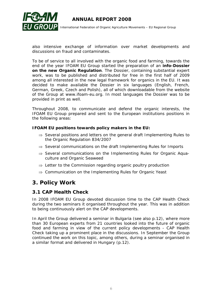

*GROUP* International Federation of Organic Agriculture Movements – EU Regional Group

also intensive exchange of information over market developments and discussions on fraud and contaminates.

To be of service to all involved with the organic food and farming, towards the end of the year IFOAM EU Group started the preparation of an **info-Dossier on the new Organic Regulation**. The Dossier, containing substantial expert work, was to be published and distributed for free in the first half of 2009 among all interested in the new legal framework for organics in the EU. It was decided to make available the Dossier in six languages (English, French, German, Greek, Czech and Polish), all of which downloadable from the website of the Group at www.ifoam-eu.org. In most languages the Dossier was to be provided in print as well.

Throughout 2008, to communicate and defend the organic interests, the IFOAM EU Group prepared and sent to the European institutions positions in the following areas:

#### **IFOAM EU positions towards policy makers in the EU:**

- ⇒ Several positions and letters on the general draft Implementing Rules to the Organic Regulation 834/2007
- ⇒ Several communications on the draft Implementing Rules for Imports
- ⇒ Several communications on the Implementing Rules for Organic Aquaculture and Organic Seaweed
- ⇒ Letter to the Commission regarding organic poultry production
- ⇒ Communication on the Implementing Rules for Organic Yeast

## *3. Policy Work*

#### *3.1 CAP Health Check*

In 2008 IFOAM EU Group devoted discussion time to the CAP Health Check during the two seminars it organised throughout the year. This was in addition to being continuously alert on the CAP developments.

In April the Group delivered a seminar in Bulgaria *(see also p.12)*, where more than 30 European experts from 21 countries looked into the future of organic food and farming in view of the current policy developments - CAP Health Check taking up a prominent place in the discussions. In September the Group continued the work on this topic, among others, during a seminar organised in a similar format and delivered in Hungary *(p.12)*.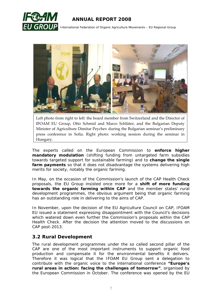

 *International Federation of Organic Agriculture Movements – EU Regional Group*



Left photo from right to left: the board member from Switzerland and the Director of IFOAM EU Group, Otto Schmid and Marco Schlüter, and the Bulgarian Deputy Minister of Agriculture Dimitar Peychev during the Bulgarian seminar's preliminary press conference in Sofia. Right photo: working session during the seminar in Hungary.

The experts called on the European Commission to **enforce higher mandatory modulation** (shifting funding from untargeted farm subsidies towards targeted support for sustainable farming) and to **change the single farm payments** so that it does not disadvantage the systems delivering high merits for society, notably the organic farming.

In May, on the occasion of the Commission's launch of the CAP Health Check proposals, the EU Group insisted once more for a **shift of more funding towards the organic farming within CAP** and the member states' rural development programmes, the obvious argument being that organic farming has an outstanding role in delivering to the aims of CAP.

In November, upon the decision of the EU Agriculture Council on CAP, IFOAM EU issued a statement expressing disappointment with the Council's decisions which watered down even further the Commission's proposals within the CAP Health Check. After the decision the attention moved to the discussions on CAP post-2013.

#### *3.2 Rural Development*

The rural development programmes under the so called second pillar of the CAP are one of the most important instruments to support organic food production and compensate it for the environmental benefits it delivers. Therefore it was logical that the IFOAM EU Group sent a delegation to contribute with the organic voice to the international conference **"Europe's rural areas in action: facing the challenges of tomorrow"**, organised by the European Commission in October. The conference was opened by the EU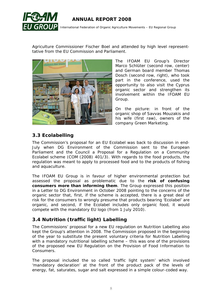

 *International Federation of Organic Agriculture Movements – EU Regional Group*

Agriculture Commissioner Fischer Boel and attended by high level representtative from the EU Commission and Parliament.



The IFOAM EU Group's Director Marco Schlüter (second row, center) and German board member Thomas Dosch (second row, right), who took part in the conference, used the opportunity to also visit the Cyprus organic sector and strengthen its involvement within the IFOAM EU Group.

On the picture: in front of the organic shop of Savvas Mouzakis and his wife (first raw), owners of the company Green Marketing.

## *3.3 Ecolabelling*

The Commission's proposal for an EU Ecolabel was back to discussion in end-July when DG Environment of the Commission sent to the European Parliament and the Council a Proposal for a Regulation on a Community Ecolabel scheme (COM (2008) 401/3). With regards to the food products, the regulation was meant to apply to processed food and to the products of fishing and aquaculture.

The IFOAM EU Group is in favour of higher environmental protection but assessed the proposal as problematic due to the **risk of confusing consumers more than informing them**. The Group expressed this position in a Letter to DG Environment in October 2008 pointing to the concerns of the organic sector that, first, if the scheme is accepted, there is a great deal of risk for the consumers to wrongly presume that products bearing 'Ecolabel' are organic, and second, if the Ecolabel includes only organic food, it would compete with the mandatory EU logo (from 1 July 2010).

## *3.4 Nutrition (traffic light) Labelling*

The Commissions' proposal for a new EU regulation on Nutrition Labelling also kept the Group's attention in 2008. The Commission proposed in the beginning of the year to substitute the present voluntary criteria for Nutrition Labelling with a mandatory nutritional labelling scheme – this was one of the provisions of the proposed new EU Regulation on the Provision of Food Information to Consumers.

The proposal included the so called 'traffic light system' which involved 'mandatory declaration' at the front of the product pack of the levels of energy, fat, saturates, sugar and salt expressed in a simple colour-coded way.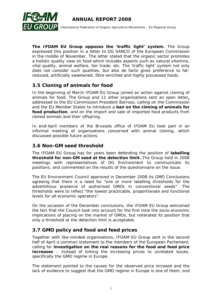

*GROUP* International Federation of Organic Agriculture Movements – EU Regional Group

**The IFOAM EU Group opposes the 'traffic light' system.** The Group expressed this position in a letter to DG SANCO of the European Commission in the middle of November. The letter stated that the organic sector promotes a holistic quality view on food which includes aspects such as natural vitamins, vital quality, animal welfare, fair trade, etc. The 'traffic light' system not only does not consider such qualities, but also de facto gives preference to fatreduced, artificially sweetened, fibre enriched and highly processed foods.

#### *3.5 Cloning of animals for food*

In the beginning of March IFOAM EU Group joined an action against cloning of animals for food. The Group and 11 other organisations sent an open letter, addressed to the EU Commission President Barroso, calling on the Commission and the EU Member States to introduce a **ban on the cloning of animals for food production**, and on the import and sale of imported food products from cloned animals and their offspring.

In end-April members of the Brussels office of IFOAM EU took part in an informal meeting of organisations concerned with animal cloning, which discussed possible future actions.

#### *3.6 Non-GM seed threshold*

The IFOAM EU Group has for years been defending the position of **labelling threshold for non-GM seed at the detection limit.** The Group held in 2008 meetings with representatives of DG Environment to communicate its positions, and commented on the results of the questionnaire on the issue.

The EU Environment Council approved in December 2008 its GMO Conclusions agreeing that there is a need for "one or more labelling thresholds for the adventitious presence of authorised GMOs in conventional seeds". The thresholds were to reflect "the lowest practicable, proportionate and functional levels for all economic operators".

On the occasion of the December conclusions, the IFOAM EU Group welcomed the fact that the Council took into account for the first time the socio-economic implications of placing on the market of GMOs, but reiterated its position that only a threshold at the detection limit is acceptable.

#### *3.7 GMO policy and food and feed prices*

Together with like-minded organisations, IFOAM EU Group sent in the second half of April a common statement to the members of the European Parliament, calling for **investigation on the real reasons for the food and feed price increases** – instead of linking the increasing prices to unrelated issues, specifically the GMO regime in Europe.

The statement pointed to the causes for the observed price increase and the lack of evidence to suggest that the GMO regime in Europe is one of them, and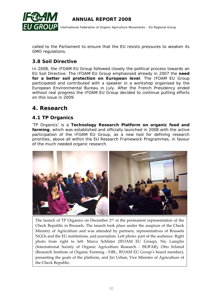

called to the Parliament to ensure that the EU resists pressures to weaken its GMO regulations.

## *3.8 Soil Directive*

In 2008, the IFOAM EU Group followed closely the political process towards an EU Soil Directive. The IFOAM EU Group emphasised already in 2007 the **need for a better soil protection on European level**. The IFOAM EU Group participated and contributed with a speaker in a workshop organised by the European Environmental Bureau in July. After the French Presidency ended without real progress the IFOAM EU Group decided to continue putting efforts on this issue in 2009.

# *4. Research*

#### *4.1 TP Organics*

'TP Organics' is a **Technology Research Platform on organic food and farming**, which was established and officially launched in 2008 with the active participation of the IFOAM EU Group, as a new tool for defining research priorities, above all within the EU Research Framework Programmes, in favour of the much needed organic research.



The launch of TP Organics on December  $2<sup>nd</sup>$  at the permanent representation of the Check Republic in Brussels. The launch took place under the auspices of the Check Ministry of Agriculture and was attended by partners, representatives of Brussels NGOs and the EU institutions, and journalists. Left photo: part of the audience. Right photo from right to left: Marco Schlüter (IFOAM EU Group), Nic Lamplin (International Society of Organic Agriculture Research ‐ ISOFAR), Otto Schmid (Research Institute of Organic Farming ‐ FiBL, IFOAM EU Group's board member), presenting the goals of the platform, and Jiri Urban, Vice Minister of Agriculture of the Check Republic.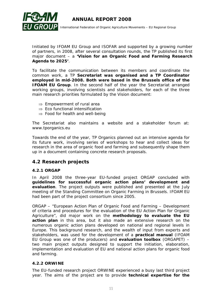

**GROUP** International Federation of Organic Agriculture Movements – EU Regional Group

Initiated by IFOAM EU Group and ISOFAR and supported by a growing number of partners, in 2008, after several consultation rounds, the TP published its first major document – a **'Vision for an Organic Food and Farming Research Agenda to 2025'**.

To facilitate the communication between its members and coordinate the common work, a TP **Secretariat was organised and a TP Coordinator employed in mid-2008. Both were based in the Brussels office of the IFOAM EU Group**. In the second half of the year the Secretariat arranged working groups, involving scientists and stakeholders, for each of the three main research priorities formulated by the Vision document:

- $\Rightarrow$  Empowerment of rural area
- $\Rightarrow$  Eco functional intensification
- $\Rightarrow$  Food for health and well-being

The Secretariat also maintains a website and a stakeholder forum at: www.tporganics.eu

Towards the end of the year, TP Organics planned out an intensive agenda for its future work, involving series of workshops to hear and collect ideas for research in the area of organic food and farming and subsequently shape them up in a document containing concrete research proposals.

#### *4.2 Research projects*

#### *4.2.1 ORGAP*

In April 2008 the three-year EU-funded project ORGAP concluded with **guidelines for successful organic action plans' development and evaluation**. The project outputs were published and presented at the July meeting of the Standing Committee on Organic Farming in Brussels. IFOAM EU had been part of the project consortium since 2005.

ORGAP – "European Action Plan of Organic Food and Farming – Development of criteria and procedures for the evaluation of the EU Action Plan for Organic Agriculture", did major work on the **methodology to evaluate the EU action plan** in this area, but it also made an extensive research on the numerous organic action plans developed on national and regional levels in Europe. This background research, and the wealth of input from experts and stakeholders, was used for the development of a **practical manual** (IFOAM EU Group was one of the producers) and **evaluation toolbox** (ORGAPET) – two main project outputs designed to support the initiation, elaboration, implementation and evaluation of EU and national action plans for organic food and farming.

#### *4.2.2 ORWINE*

The EU-funded research project ORWINE experienced a busy last third project year. The aims of the project are to provide **technical expertise for the**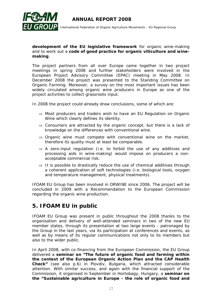

*I* **GROUP** International Federation of Organic Agriculture Movements – EU Regional Group

#### **development of the EU legislative framework** for organic wine-making and to work out a **code of good practice for organic viticulture and winemaking**.

The project partners from all over Europe came together in two project meetings in spring 2008 and further stakeholders were involved in the European Project Advisory Committee (EPAC) meeting in May 2008. In December 2008 the project was presented to the Standing Committee on Organic Farming. Moreover, a survey on the most important issues has been widely circulated among organic wine producers in Europe as one of the project activities to collect grassroots input.

In 2008 the project could already draw conclusions, some of which are:

- ⇒ Most producers and traders wish to have an EU Regulation on Organic Wine which clearly defines its identity.
- $\Rightarrow$  Consumers are attracted by the organic concept, but there is a lack of knowledge on the differences with conventional wine.
- $\Rightarrow$  Organic wine must compete with conventional wine on the market, therefore its quality must at least be comparable.
- $\Rightarrow$  A zero-input regulation (i.e. to forbid the use of any additives and processing aids in wine-making) would impose on producers a nonacceptable commercial risk.
- $\Rightarrow$  It is possible to drastically reduce the use of chemical additives through a coherent application of soft technologies (i.e. biological tools, oxygen and temperature management, physical treatments).

IFOAM EU Group has been involved in ORWINE since 2006. The project will be concluded in 2009 with a Recommendation to the European Commission regarding the organic wine production.

## *5. IFOAM EU in public*

IFOAM EU Group was present in public throughout the 2008 thanks to the organisation and delivery of well-attended seminars in two of the new EU member states, through its presentation at two large events - patronaged by the Group in the last years, via its participation at conferences and events, as well as by means of its regular communications not only to its members but also to the wider public.

In April 2008, with co-financing from the European Commission, the EU Group delivered a **seminar on "The future of organic food and farming within the context of the European Organic Action Plan and the CAP Health Check"** *(see also p.6)* in Plovdiv, Bulgaria, which attracted considerable attention. With similar success, and again with the financial support of the Commission, it organised in September in Hortobagy, Hungary, a **seminar on the "Sustainable agriculture in Europe - the role of organic food and**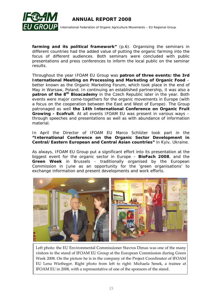

 *International Federation of Organic Agriculture Movements – EU Regional Group*

**farming and its political framework"** *(p.6)*. Organising the seminars in different countries had the added value of putting the organic farming into the focus of different audiences. Both seminars were concluded with public presentations and press conferences to inform the local public on the seminar results.

Throughout the year IFOAM EU Group was **patron of three events: the 3rd International Meeting on Processing and Marketing of Organic Food** – better known as the Organic Marketing Forum, which took place in the end of May in Warsaw, Poland. In continuing an established partnership, it was also a **patron of the 8<sup>th</sup> Bioacademy** in the Czech Republic later in the year. Both events were major come-togethers for the organic movements in Europe (with a focus on the cooperation between the East and West of Europe). The Group patronaged as well **the 14th International Conference on Organic Fruit Growing - Ecofruit**. At all events IFOAM EU was present in various ways – through speeches and presentations as well as with abundance of information material.

In April the Director of IFOAM EU Marco Schlüter took part in the **"International Conference on the Organic Sector Development in Central/Eastern European and Central Asian countries"** in Kyiv, Ukraine.

As always, IFOAM EU Group put a significant effort into its presentation at the biggest event for the organic sector in Europe – **BioFach 2008**, and the **Green Week** in Brussels - traditionally organised by the European Commission in June as an opportunity for the 'green organisations' to exchange information and present developments and work efforts.



Left photo: the EU Environmental Commissioner Stavros Dimas was one of the many visitors to the stand of IFOAM EU Group at the European Commission during Green Week 2008. On the picture he is in the company of the Project Coordinator of IFOAM EU Lena Wietheger. Right photo from left to right: Michaela Senek, a trainee at IFOAM EU in 2008, with a representative of one of the sponsors of the stand.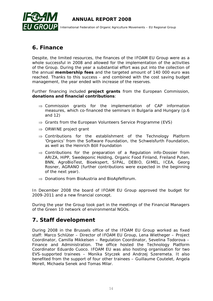

# *6. Finance*

Despite, the limited resources, the finances of the IFOAM EU Group were as a whole successful in 2008 and allowed for the implementation of the activities of the Group. During the year a substantial effort was put into the collection of the annual **membership fees** and the targeted amount of 140 000 euro was reached. Thanks to this success - and combined with the cost saving budget management, the year ended with increase of the reserves.

Further financing included **project grants** from the European Commission, **donations and financial contributions**:

- ⇒ Commission grants for the implementation of CAP information measures, which co-financed the seminars in Bulgaria and Hungary *(p.6 and 12)*
- $\Rightarrow$  Grants from the European Volunteers Service Programme (EVS)
- ⇒ ORWINE project grant
- $\Rightarrow$  Contributions for the establishment of the Technology Platform 'Organics' from the Software Foundation, the Schweisfurth Foundation, as well as the Heinrich Böll Foundation
- $\Rightarrow$  Contributions for the preparation of a Regulation info-Dossier from ARIZA, HiPP, Swedeponic Holding, Organic Food Finland, Freiland Puten, BNN, AgroBioTest, Bioekspert, SIPAL, DEBIO, GIMEL, ICEA, Georg Rosner, AGRANO (further contributions were expected in the beginning of the next year).
- ⇒ Donations from BioAustria and BioApfelforum.

In December 2008 the board of IFOAM EU Group approved the budget for 2009-2011 and a new financial concept.

During the year the Group took part in the meetings of the Financial Managers of the Green 10 network of environmental NGOs.

## *7. Staff development*

During 2008 in the Brussels office of the IFOAM EU Group worked as fixed staff: Marco Schlüter – Director of IFOAM EU Group, Lena Wietheger – Project Coordinator, Camilla Mikkelsen – Regulation Coordinator, Sevelina Todorova – Finance and Administration. The office hosted the Technology Platform Coordinator Eduardo Cuoco. IFOAM EU was also hosting organisation for two EVS-supported trainees – Monika Styczek and Andrzej Szeremeta. It also benefited from the support of four other trainees – Guillaume Coutelet, Angela Morell, Michaela Senek and Tomas Milar.